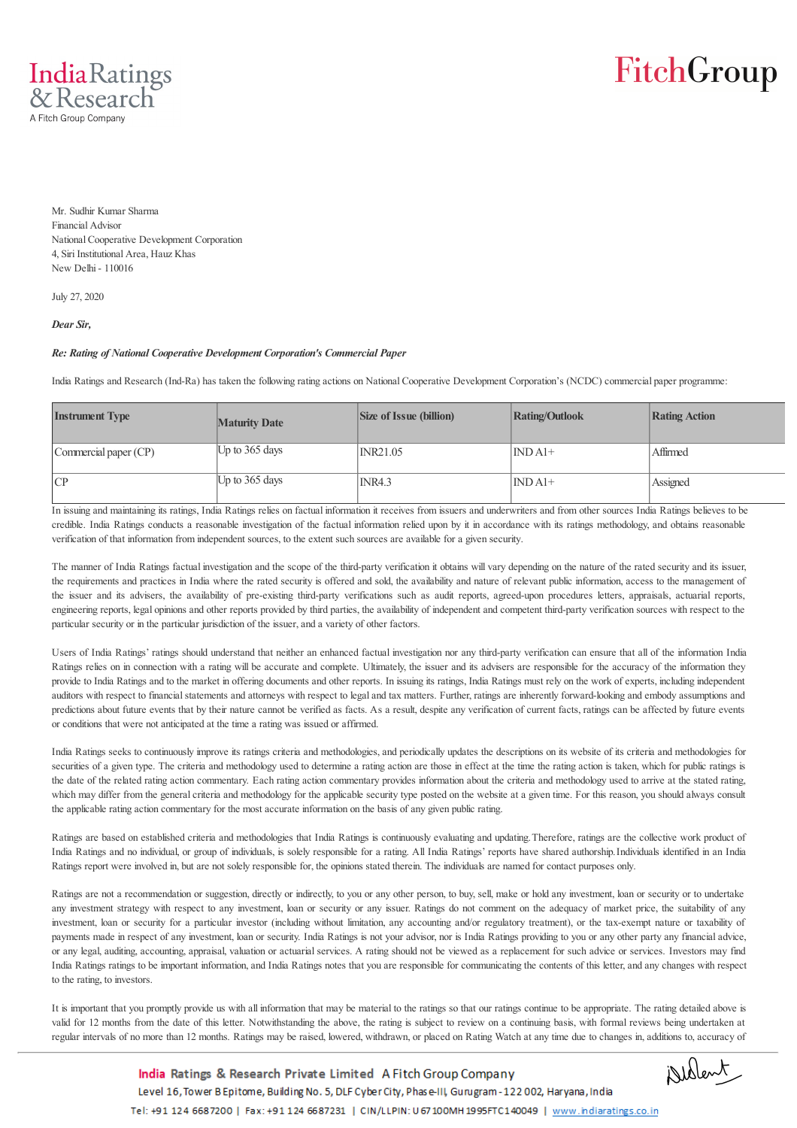

## FitchGroup

Mr. Sudhir Kumar Sharma Financial Advisor National Cooperative Development Corporation 4, Siri Institutional Area, Hauz Khas New Delhi - 110016

July 27, 2020

*Dear Sir,*

## *Re: Rating of National Cooperative Development Corporation's Commercial Paper*

India Ratings and Research (Ind-Ra) has taken the following rating actions on National Cooperative Development Corporation's (NCDC) commercial paper programme:

| <b>Instrument Type</b> | <b>Maturity Date</b> | <b>Size of Issue (billion)</b> | <b>Rating/Outlook</b> | <b>Rating Action</b> |
|------------------------|----------------------|--------------------------------|-----------------------|----------------------|
| Commercial paper (CP)  | Up to $365$ days     | <b>INR21.05</b>                | $INDA1+$              | Affirmed             |
| CP                     | Up to $365$ days     | <b>INR4.3</b>                  | $INDA1+$              | Assigned             |

In issuing and maintaining its ratings, India Ratings relies on factual information it receives from issuers and underwriters and from other sources India Ratings believes to be credible. India Ratings conducts a reasonable investigation of the factual information relied upon by it in accordance with its ratings methodology, and obtains reasonable verification of that information from independent sources, to the extent such sources are available for a given security.

The manner of India Ratings factual investigation and the scope of the third-party verification it obtains will vary depending on the nature of the rated security and its issuer, the requirements and practices in India where the rated security is offered and sold, the availability and nature of relevant public information, access to the management of the issuer and its advisers, the availability of pre-existing third-party verifications such as audit reports, agreed-upon procedures letters, appraisals, actuarial reports, engineering reports, legal opinions and other reports provided by third parties, the availability of independent and competent third-party verification sources with respect to the particular security or in the particular jurisdiction of the issuer, and a variety of other factors.

Users of India Ratings' ratings should understand that neither an enhanced factual investigation nor any third-party verification can ensure that all of the information India Ratings relies on in connection with a rating will be accurate and complete. Ultimately, the issuer and its advisers are responsible for the accuracy of the information they provide to India Ratings and to the market in offering documents and other reports. In issuing its ratings, India Ratings must rely on the work of experts, including independent auditors with respect to financial statements and attorneys with respect to legal and tax matters. Further, ratings are inherently forward-looking and embody assumptions and predictions about future events that by their nature cannot be verified as facts. As a result, despite any verification of current facts, ratings can be affected by future events or conditions that were not anticipated at the time a rating was issued or affirmed.

India Ratings seeks to continuously improve its ratings criteria and methodologies, and periodically updates the descriptions on its website of its criteria and methodologies for securities of a given type. The criteria and methodology used to determine a rating action are those in effect at the time the rating action is taken, which for public ratings is the date of the related rating action commentary. Each rating action commentary provides information about the criteria and methodology used to arrive at the stated rating, which may differ from the general criteria and methodology for the applicable security type posted on the website at a given time. For this reason, you should always consult the applicable rating action commentary for the most accurate information on the basis of any given public rating.

Ratings are based on established criteria and methodologies that India Ratings is continuously evaluating and updating. Therefore, ratings are the collective work product of India Ratings and no individual, or group of individuals, is solely responsible for a rating. All India Ratings' reports have shared authorship. Individuals identified in an India Ratings report were involved in, but are not solely responsible for, the opinions stated therein. The individuals are named for contact purposes only.

Ratings are not a recommendation or suggestion, directly or indirectly, to you or any other person, to buy, sell, make or hold any investment, loan or security or to undertake any investment strategy with respect to any investment, loan or security or any issuer. Ratings do not comment on the adequacy of market price, the suitability of any investment, loan or security for a particular investor (including without limitation, any accounting and/or regulatory treatment), or the tax-exempt nature or taxability of payments made in respect of any investment, loan or security. India Ratings is not your advisor, nor is India Ratings providing to you or any other party any financial advice, or any legal, auditing, accounting, appraisal, valuation or actuarial services. A rating should not be viewed as a replacement for such advice or services. Investors may find India Ratings ratings to be important information, and India Ratings notes that you are responsible for communicating the contents of this letter, and any changes with respect to the rating, to investors.

It is important that you promptly provide us with all information that may be material to the ratings so that our ratings continue to be appropriate. The rating detailed above is valid for 12 months from the date of this letter. Notwithstanding the above, the rating is subject to review on a continuing basis, with formal reviews being undertaken at regular intervals of no more than 12 months. Ratings may be raised, lowered, withdrawn, or placed on Rating Watch at any time due to changes in, additions to, accuracy of

Dellent